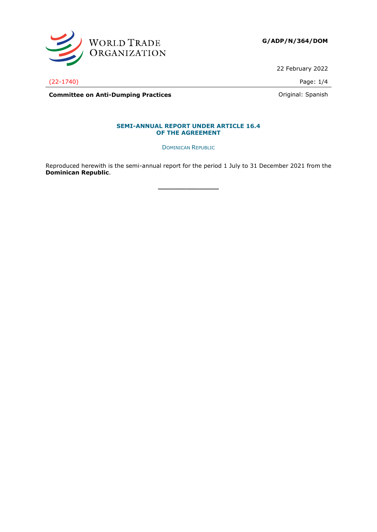

**G/ADP/N/364/DOM**

22 February 2022

(22-1740) Page: 1/4

**Committee on Anti-Dumping Practices Committee on Anti-Dumping Practices Committee on Anti-Dumping Practices** 

## **SEMI-ANNUAL REPORT UNDER ARTICLE 16.4 OF THE AGREEMENT**

DOMINICAN REPUBLIC

Reproduced herewith is the semi-annual report for the period 1 July to 31 December 2021 from the **Dominican Republic**.

**\_\_\_\_\_\_\_\_\_\_\_\_\_\_\_**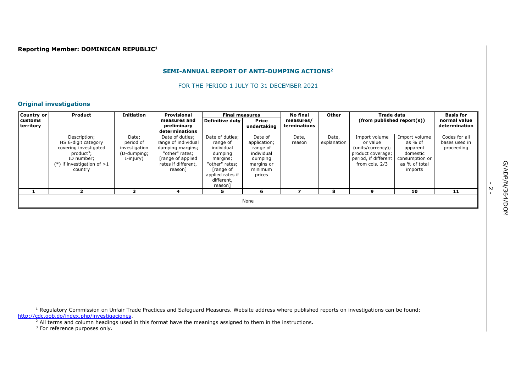# **Reporting Member: DOMINICAN REPUBLIC<sup>1</sup>**

#### **SEMI-ANNUAL REPORT OF ANTI-DUMPING ACTIONS<sup>2</sup>**

FOR THE PERIOD 1 JULY TO 31 DECEMBER 2021

# **Original investigations**

| Country or                  | <b>Product</b>                                                                                                                          | <b>Initiation</b>                                               | Provisional                                                                                                                          | <b>Final measures</b>                                                                                                                       |                                                                                                 | <b>No final</b>           | Other                | Trade data                                                                                                    |                                                                                                | <b>Basis for</b>                             |
|-----------------------------|-----------------------------------------------------------------------------------------------------------------------------------------|-----------------------------------------------------------------|--------------------------------------------------------------------------------------------------------------------------------------|---------------------------------------------------------------------------------------------------------------------------------------------|-------------------------------------------------------------------------------------------------|---------------------------|----------------------|---------------------------------------------------------------------------------------------------------------|------------------------------------------------------------------------------------------------|----------------------------------------------|
| <b>customs</b><br>territory |                                                                                                                                         |                                                                 | measures and<br>preliminary<br>determinations                                                                                        | Definitive duty                                                                                                                             | Price<br>undertaking                                                                            | measures/<br>terminations |                      | $(from$ published report $(s)$ )                                                                              |                                                                                                | normal value<br>determination                |
|                             | Description;<br>HS 6-digit category<br>covering investigated<br>$product3$ ;<br>ID number;<br>$(*)$ if investigation of $>1$<br>country | Date;<br>period of<br>investigation<br>(D-dumping;<br>I-injury) | Date of duties;<br>range of individual<br>dumping margins;<br>"other" rates:<br>[range of applied]<br>rates if different,<br>reason] | Date of duties;<br>range of<br>individual<br>dumping<br>margins;<br>"other" rates;<br>range of<br>applied rates if<br>different,<br>reason] | Date of<br>application;<br>range of<br>individual<br>dumping<br>margins or<br>minimum<br>prices | Date,<br>reason           | Date,<br>explanation | Import volume<br>or value<br>(units/currency);<br>product coverage;<br>period, if different<br>from cols. 2/3 | Import volume<br>as % of<br>apparent<br>domestic<br>consumption or<br>as % of total<br>imports | Codes for all<br>bases used in<br>proceeding |
|                             |                                                                                                                                         |                                                                 |                                                                                                                                      |                                                                                                                                             | 6                                                                                               |                           | 8                    | ຸດ                                                                                                            | 10                                                                                             | 11                                           |
|                             |                                                                                                                                         |                                                                 |                                                                                                                                      |                                                                                                                                             | None                                                                                            |                           |                      |                                                                                                               |                                                                                                |                                              |

-<br>- 2

<sup>&</sup>lt;sup>1</sup> Regulatory Commission on Unfair Trade Practices and Safeguard Measures. Website address where published reports on investigations can be found: [http://cdc.gob.do/index.php/investigaciones.](http://cdc.gob.do/index.php/investigaciones)

 $<sup>2</sup>$  All terms and column headings used in this format have the meanings assigned to them in the instructions.</sup>

<sup>&</sup>lt;sup>3</sup> For reference purposes only.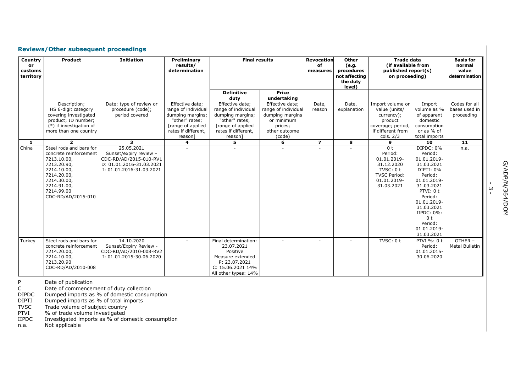# **Reviews/Other subsequent proceedings**

| Country<br>or<br>customs<br>territory | <b>Product</b>                                                                                                                                                                  | <b>Initiation</b>                                                                                                      | Preliminary<br>results/<br>determination                                                                                           | <b>Final results</b>                                                                                                                |                                                                                                               | <b>Revocation</b><br>of<br>measures | Other<br>(e.g.<br>procedures<br>not affecting<br>the duty<br>level) | <b>Trade data</b><br>(if available from<br>published report(s)<br>on proceeding)                                        |                                                                                                                                                                                                                                         | <b>Basis for</b><br>normal<br>value<br>determination |
|---------------------------------------|---------------------------------------------------------------------------------------------------------------------------------------------------------------------------------|------------------------------------------------------------------------------------------------------------------------|------------------------------------------------------------------------------------------------------------------------------------|-------------------------------------------------------------------------------------------------------------------------------------|---------------------------------------------------------------------------------------------------------------|-------------------------------------|---------------------------------------------------------------------|-------------------------------------------------------------------------------------------------------------------------|-----------------------------------------------------------------------------------------------------------------------------------------------------------------------------------------------------------------------------------------|------------------------------------------------------|
|                                       |                                                                                                                                                                                 |                                                                                                                        |                                                                                                                                    | <b>Definitive</b><br>duty                                                                                                           | <b>Price</b><br>undertaking                                                                                   |                                     |                                                                     |                                                                                                                         |                                                                                                                                                                                                                                         |                                                      |
|                                       | Description;<br>HS 6-digit category<br>covering investigated<br>product; ID number;<br>(*) if investigation of<br>more than one country                                         | Date; type of review or<br>procedure (code);<br>period covered                                                         | Effective date;<br>range of individual<br>dumping margins;<br>"other" rates;<br>[range of applied<br>rates if different,<br>reason | Effective date;<br>range of individual<br>dumping margins;<br>"other" rates;<br>[range of applied<br>rates if different,<br>reason] | Effective date;<br>range of individual<br>dumping margins<br>or minimum<br>prices;<br>other outcome<br>(code) | Date,<br>reason                     | Date,<br>explanation                                                | Import volume or<br>value (units/<br>currency);<br>product<br>coverage; period,<br>if different from<br>cols. $2/3$     | Import<br>volume as %<br>of apparent<br>domestic<br>consumption<br>or as % of<br>total imports                                                                                                                                          | Codes for all<br>bases used in<br>proceeding         |
| -1                                    | $\overline{2}$                                                                                                                                                                  | 3                                                                                                                      | 4                                                                                                                                  | 5                                                                                                                                   | 6                                                                                                             | $\overline{7}$                      | 8                                                                   | 9                                                                                                                       | 10                                                                                                                                                                                                                                      | 11                                                   |
| China                                 | Steel rods and bars for<br>concrete reinforcement<br>7213.10.00,<br>7213.20.90,<br>7214.10.00,<br>7214.20.00,<br>7214.30.00,<br>7214.91.00,<br>7214.99.00<br>CDC-RD/AD/2015-010 | 25.05.2021<br>Sunset/expiry review -<br>CDC-RD/AD/2015-010-RV1<br>D: 01.01.2016-31.03.2021<br>I: 01.01.2016-31.03.2021 |                                                                                                                                    |                                                                                                                                     |                                                                                                               |                                     |                                                                     | 0 <sub>t</sub><br>Period:<br>01.01.2019-<br>31.12.2020<br>TVSC: 0 t<br><b>TVSC Period:</b><br>01.01.2019-<br>31.03.2021 | DIPDC: 0%<br>Period:<br>01.01.2019-<br>31.03.2021<br>DIPTI: 0%<br>Period:<br>01.01.2019-<br>31.03.2021<br>PTVI: 0 t<br>Period:<br>01.01.2019-<br>31.03.2021<br>$IIPDC: 0\%$ :<br>0 <sub>t</sub><br>Period:<br>01.01.2019-<br>31.03.2021 | n.a.                                                 |
| Turkey                                | Steel rods and bars for<br>concrete reinforcement<br>7214.20.00,<br>7214.10.00,<br>7213.20.90<br>CDC-RD/AD/2010-008                                                             | 14.10.2020<br>Sunset/Expiry Review -<br>CDC-RD/AD/2010-008-RV2<br>I: 01.01.2015-30.06.2020                             |                                                                                                                                    | Final determination:<br>23.07.2021<br>Positive<br>Measure extended<br>P: 23.07.2021<br>C: 15.06.2021 14%<br>All other types: 14%    |                                                                                                               |                                     |                                                                     | TVSC: 0 t                                                                                                               | PTVI %: 0 t<br>Period:<br>01.01.2015-<br>30.06.2020                                                                                                                                                                                     | OTHER-<br><b>Metal Bulletin</b>                      |

P Date of publication

C Date of commencement of duty collection

DIPDC Dumped imports as % of domestic consumption

DIPTI Dumped imports as % of total imports

TVSC Trade volume of subject country

PTVI % of trade volume investigated

IIPDC Investigated imports as % of domestic consumption

n.a. Not applicable

ا<br>س